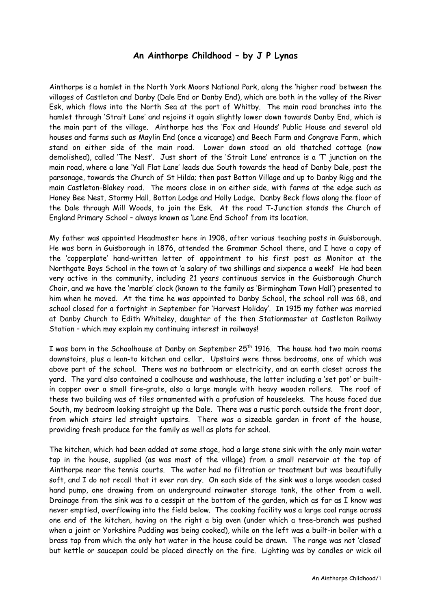## **An Ainthorpe Childhood – by J P Lynas**

Ainthorpe is a hamlet in the North York Moors National Park, along the 'higher road' between the villages of Castleton and Danby (Dale End or Danby End), which are both in the valley of the River Esk, which flows into the North Sea at the port of Whitby. The main road branches into the hamlet through 'Strait Lane' and rejoins it again slightly lower down towards Danby End, which is the main part of the village. Ainthorpe has the 'Fox and Hounds' Public House and several old houses and farms such as Maylin End (once a vicarage) and Beech Farm and Congrave Farm, which stand on either side of the main road. Lower down stood an old thatched cottage (now demolished), called 'The Nest'. Just short of the 'Strait Lane' entrance is a 'T' junction on the main road, where a lane 'Yall Flat Lane' leads due South towards the head of Danby Dale, past the parsonage, towards the Church of St Hilda; then past Botton Village and up to Danby Rigg and the main Castleton-Blakey road. The moors close in on either side, with farms at the edge such as Honey Bee Nest, Stormy Hall, Botton Lodge and Holly Lodge. Danby Beck flows along the floor of the Dale through Mill Woods, to join the Esk. At the road T-Junction stands the Church of England Primary School – always known as 'Lane End School' from its location.

My father was appointed Headmaster here in 1908, after various teaching posts in Guisborough. He was born in Guisborough in 1876, attended the Grammar School there, and I have a copy of the 'copperplate' hand-written letter of appointment to his first post as Monitor at the Northgate Boys School in the town at 'a salary of two shillings and sixpence a week!' He had been very active in the community, including 21 years continuous service in the Guisborough Church Choir, and we have the 'marble' clock (known to the family as 'Birmingham Town Hall') presented to him when he moved. At the time he was appointed to Danby School, the school roll was 68, and school closed for a fortnight in September for 'Harvest Holiday'. In 1915 my father was married at Danby Church to Edith Whiteley, daughter of the then Stationmaster at Castleton Railway Station – which may explain my continuing interest in railways!

I was born in the Schoolhouse at Danby on September 25<sup>th</sup> 1916. The house had two main rooms downstairs, plus a lean-to kitchen and cellar. Upstairs were three bedrooms, one of which was above part of the school. There was no bathroom or electricity, and an earth closet across the yard. The yard also contained a coalhouse and washhouse, the latter including a 'set pot' or builtin copper over a small fire-grate, also a large mangle with heavy wooden rollers. The roof of these two building was of tiles ornamented with a profusion of houseleeks. The house faced due South, my bedroom looking straight up the Dale. There was a rustic porch outside the front door, from which stairs led straight upstairs. There was a sizeable garden in front of the house, providing fresh produce for the family as well as plots for school.

The kitchen, which had been added at some stage, had a large stone sink with the only main water tap in the house, supplied (as was most of the village) from a small reservoir at the top of Ainthorpe near the tennis courts. The water had no filtration or treatment but was beautifully soft, and I do not recall that it ever ran dry. On each side of the sink was a large wooden cased hand pump, one drawing from an underground rainwater storage tank, the other from a well. Drainage from the sink was to a cesspit at the bottom of the garden, which as far as I know was never emptied, overflowing into the field below. The cooking facility was a large coal range across one end of the kitchen, having on the right a big oven (under which a tree-branch was pushed when a joint or Yorkshire Pudding was being cooked), while on the left was a built-in boiler with a brass tap from which the only hot water in the house could be drawn. The range was not 'closed' but kettle or saucepan could be placed directly on the fire. Lighting was by candles or wick oil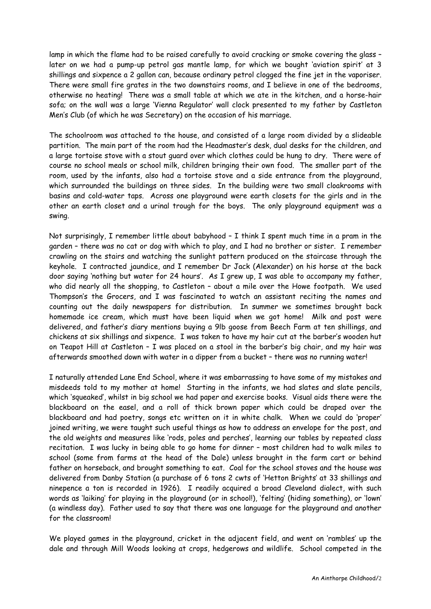lamp in which the flame had to be raised carefully to avoid cracking or smoke covering the glass – later on we had a pump-up petrol gas mantle lamp, for which we bought 'aviation spirit' at 3 shillings and sixpence a 2 gallon can, because ordinary petrol clogged the fine jet in the vaporiser. There were small fire grates in the two downstairs rooms, and I believe in one of the bedrooms, otherwise no heating! There was a small table at which we ate in the kitchen, and a horse-hair sofa; on the wall was a large 'Vienna Regulator' wall clock presented to my father by Castleton Men's Club (of which he was Secretary) on the occasion of his marriage.

The schoolroom was attached to the house, and consisted of a large room divided by a slideable partition. The main part of the room had the Headmaster's desk, dual desks for the children, and a large tortoise stove with a stout guard over which clothes could be hung to dry. There were of course no school meals or school milk, children bringing their own food. The smaller part of the room, used by the infants, also had a tortoise stove and a side entrance from the playground, which surrounded the buildings on three sides. In the building were two small cloakrooms with basins and cold-water taps. Across one playground were earth closets for the girls and in the other an earth closet and a urinal trough for the boys. The only playground equipment was a swing.

Not surprisingly, I remember little about babyhood – I think I spent much time in a pram in the garden – there was no cat or dog with which to play, and I had no brother or sister. I remember crawling on the stairs and watching the sunlight pattern produced on the staircase through the keyhole. I contracted jaundice, and I remember Dr Jack (Alexander) on his horse at the back door saying 'nothing but water for 24 hours'. As I grew up, I was able to accompany my father, who did nearly all the shopping, to Castleton – about a mile over the Howe footpath. We used Thompson's the Grocers, and I was fascinated to watch an assistant reciting the names and counting out the daily newspapers for distribution. In summer we sometimes brought back homemade ice cream, which must have been liquid when we got home! Milk and post were delivered, and father's diary mentions buying a 9lb goose from Beech Farm at ten shillings, and chickens at six shillings and sixpence. I was taken to have my hair cut at the barber's wooden hut on Teapot Hill at Castleton – I was placed on a stool in the barber's big chair, and my hair was afterwards smoothed down with water in a dipper from a bucket – there was no running water!

I naturally attended Lane End School, where it was embarrassing to have some of my mistakes and misdeeds told to my mother at home! Starting in the infants, we had slates and slate pencils, which 'squeaked', whilst in big school we had paper and exercise books. Visual aids there were the blackboard on the easel, and a roll of thick brown paper which could be draped over the blackboard and had poetry, songs etc written on it in white chalk. When we could do 'proper' joined writing, we were taught such useful things as how to address an envelope for the post, and the old weights and measures like 'rods, poles and perches', learning our tables by repeated class recitation. I was lucky in being able to go home for dinner – most children had to walk miles to school (some from farms at the head of the Dale) unless brought in the farm cart or behind father on horseback, and brought something to eat. Coal for the school stoves and the house was delivered from Danby Station (a purchase of 6 tons 2 cwts of 'Hetton Brights' at 33 shillings and ninepence a ton is recorded in 1926). I readily acquired a broad Cleveland dialect, with such words as 'laiking' for playing in the playground (or in school!), 'felting' (hiding something), or 'lown' (a windless day). Father used to say that there was one language for the playground and another for the classroom!

We played games in the playground, cricket in the adjacent field, and went on 'rambles' up the dale and through Mill Woods looking at crops, hedgerows and wildlife. School competed in the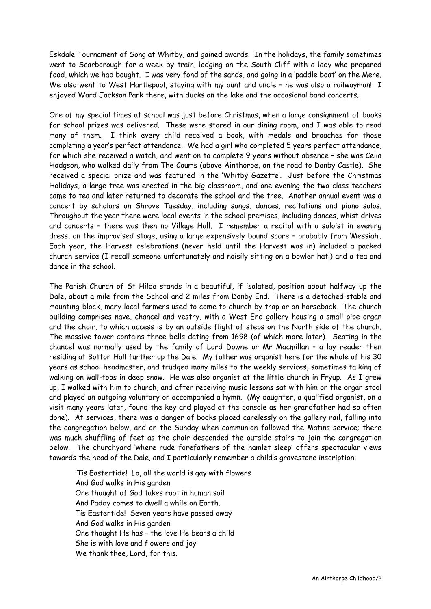Eskdale Tournament of Song at Whitby, and gained awards. In the holidays, the family sometimes went to Scarborough for a week by train, lodging on the South Cliff with a lady who prepared food, which we had bought. I was very fond of the sands, and going in a 'paddle boat' on the Mere. We also went to West Hartlepool, staying with my aunt and uncle - he was also a railwayman! I enjoyed Ward Jackson Park there, with ducks on the lake and the occasional band concerts.

One of my special times at school was just before Christmas, when a large consignment of books for school prizes was delivered. These were stored in our dining room, and I was able to read many of them. I think every child received a book, with medals and broaches for those completing a year's perfect attendance. We had a girl who completed 5 years perfect attendance, for which she received a watch, and went on to complete 9 years without absence – she was Celia Hodgson, who walked daily from The Coums (above Ainthorpe, on the road to Danby Castle). She received a special prize and was featured in the 'Whitby Gazette'. Just before the Christmas Holidays, a large tree was erected in the big classroom, and one evening the two class teachers came to tea and later returned to decorate the school and the tree. Another annual event was a concert by scholars on Shrove Tuesday, including songs, dances, recitations and piano solos. Throughout the year there were local events in the school premises, including dances, whist drives and concerts – there was then no Village Hall. I remember a recital with a soloist in evening dress, on the improvised stage, using a large expensively bound score – probably from 'Messiah'. Each year, the Harvest celebrations (never held until the Harvest was in) included a packed church service (I recall someone unfortunately and noisily sitting on a bowler hat!) and a tea and dance in the school.

The Parish Church of St Hilda stands in a beautiful, if isolated, position about halfway up the Dale, about a mile from the School and 2 miles from Danby End. There is a detached stable and mounting-block, many local farmers used to come to church by trap or on horseback. The church building comprises nave, chancel and vestry, with a West End gallery housing a small pipe organ and the choir, to which access is by an outside flight of steps on the North side of the church. The massive tower contains three bells dating from 1698 (of which more later). Seating in the chancel was normally used by the family of Lord Downe or Mr Macmillan – a lay reader then residing at Botton Hall further up the Dale. My father was organist here for the whole of his 30 years as school headmaster, and trudged many miles to the weekly services, sometimes talking of walking on wall-tops in deep snow. He was also organist at the little church in Fryup. As I grew up, I walked with him to church, and after receiving music lessons sat with him on the organ stool and played an outgoing voluntary or accompanied a hymn. (My daughter, a qualified organist, on a visit many years later, found the key and played at the console as her grandfather had so often done). At services, there was a danger of books placed carelessly on the gallery rail, falling into the congregation below, and on the Sunday when communion followed the Matins service; there was much shuffling of feet as the choir descended the outside stairs to join the congregation below. The churchyard 'where rude forefathers of the hamlet sleep' offers spectacular views towards the head of the Dale, and I particularly remember a child's gravestone inscription:

 'Tis Eastertide! Lo, all the world is gay with flowers And God walks in His garden One thought of God takes root in human soil And Paddy comes to dwell a while on Earth. Tis Eastertide! Seven years have passed away And God walks in His garden One thought He has – the love He bears a child She is with love and flowers and joy We thank thee, Lord, for this.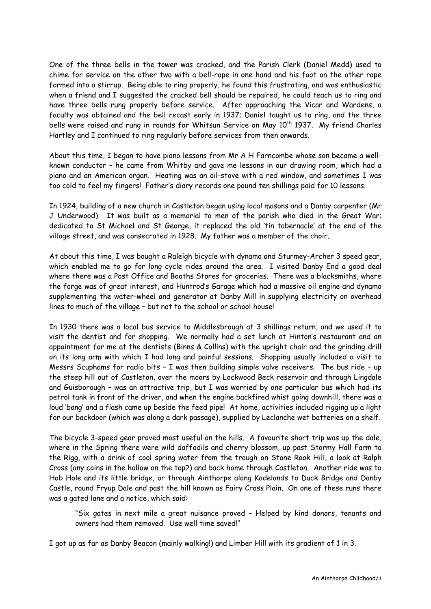One of the three bells in the tower was cracked, and the Parish Clerk (Daniel Medd) used to chime for service on the other two with a bell-rope in one hand and his foot on the other rope formed into a stirrup. Being able to ring properly, he found this frustrating, and was enthusiastic when a friend and I suggested the cracked bell should be repaired, he could teach us to ring and have three bells rung properly before service. After approaching the Vicar and Wardens, a faculty was obtained and the bell recast early in 1937; Daniel taught us to ring, and the three bells were raised and rung in rounds for Whitsun Service on May 10<sup>th</sup> 1937. My friend Charles Hartley and I continued to ring regularly before services from then onwards.

About this time, I began to have piano lessons from Mr A H Farncombe whose son became a wellknown conductor – he came from Whitby and gave me lessons in our drawing room, which had a piano and an American organ. Heating was an oil-stove with a red window, and sometimes I was too cold to feel my fingers! Father's diary records one pound ten shillings paid for 10 lessons.

In 1924, building of a new church in Castleton began using local masons and a Danby carpenter (Mr J Underwood). It was built as a memorial to men of the parish who died in the Great War; dedicated to St Michael and St George, it replaced the old 'tin tabernacle' at the end of the village street, and was consecrated in 1928. My father was a member of the choir.

At about this time, I was bought a Raleigh bicycle with dynamo and Sturmey-Archer 3 speed gear, which enabled me to go for long cycle rides around the area. I visited Danby End a good deal where there was a Post Office and Booths Stores for groceries. There was a blacksmiths, where the forge was of great interest, and Huntrod's Garage which had a massive oil engine and dynamo supplementing the water-wheel and generator at Danby Mill in supplying electricity on overhead lines to much of the village – but not to the school or school house!

In 1930 there was a local bus service to Middlesbrough at 3 shillings return, and we used it to visit the dentist and for shopping. We normally had a set lunch at Hinton's restaurant and an appointment for me at the dentists (Binns & Collins) with the upright chair and the grinding drill on its long arm with which I had long and painful sessions. Shopping usually included a visit to Messrs Scuphams for radio bits – I was then building simple valve receivers. The bus ride – up the steep hill out of Castleton, over the moors by Lockwood Beck reservoir and through Lingdale and Guisborough – was an attractive trip, but I was worried by one particular bus which had its petrol tank in front of the driver, and when the engine backfired whist going downhill, there was a loud 'bang' and a flash came up beside the feed pipe! At home, activities included rigging up a light for our backdoor (which was along a dark passage), supplied by Leclanche wet batteries on a shelf.

The bicycle 3-speed gear proved most useful on the hills. A favourite short trip was up the dale, where in the Spring there were wild daffodils and cherry blossom, up past Stormy Hall Farm to the Rigg, with a drink of cool spring water from the trough on Stone Rook Hill, a look at Ralph Cross (any coins in the hollow on the top?) and back home through Castleton. Another ride was to Hob Hole and its little bridge, or through Ainthorpe along Kadelands to Duck Bridge and Danby Castle, round Fryup Dale and past the hill known as Fairy Cross Plain. On one of these runs there was a gated lane and a notice, which said:

"Six gates in next mile a great nuisance proved – Helped by kind donors, tenants and owners had them removed. Use well time saved!"

I got up as far as Danby Beacon (mainly walking!) and Limber Hill with its gradient of 1 in 3.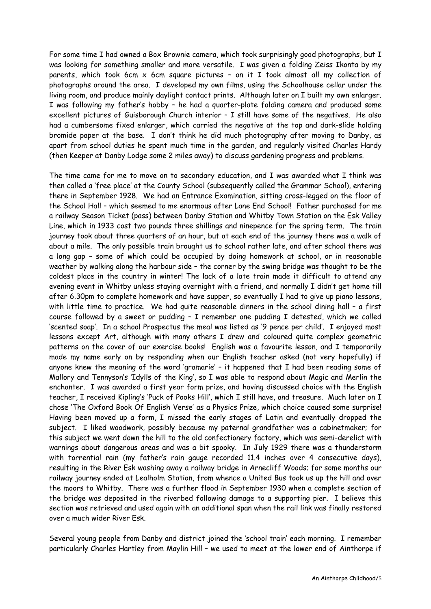For some time I had owned a Box Brownie camera, which took surprisingly good photographs, but I was looking for something smaller and more versatile. I was given a folding Zeiss Ikonta by my parents, which took 6cm  $\times$  6cm square pictures - on it I took almost all my collection of photographs around the area. I developed my own films, using the Schoolhouse cellar under the living room, and produce mainly daylight contact prints. Although later on I built my own enlarger. I was following my father's hobby – he had a quarter-plate folding camera and produced some excellent pictures of Guisborough Church interior – I still have some of the negatives. He also had a cumbersome fixed enlarger, which carried the negative at the top and dark-slide holding bromide paper at the base. I don't think he did much photography after moving to Danby, as apart from school duties he spent much time in the garden, and regularly visited Charles Hardy (then Keeper at Danby Lodge some 2 miles away) to discuss gardening progress and problems.

The time came for me to move on to secondary education, and I was awarded what I think was then called a 'free place' at the County School (subsequently called the Grammar School), entering there in September 1928. We had an Entrance Examination, sitting cross-legged on the floor of the School Hall – which seemed to me enormous after Lane End School! Father purchased for me a railway Season Ticket (pass) between Danby Station and Whitby Town Station on the Esk Valley Line, which in 1933 cost two pounds three shillings and ninepence for the spring term. The train journey took about three quarters of an hour, but at each end of the journey there was a walk of about a mile. The only possible train brought us to school rather late, and after school there was a long gap – some of which could be occupied by doing homework at school, or in reasonable weather by walking along the harbour side – the corner by the swing bridge was thought to be the coldest place in the country in winter! The lack of a late train made it difficult to attend any evening event in Whitby unless staying overnight with a friend, and normally I didn't get home till after 6.30pm to complete homework and have supper, so eventually I had to give up piano lessons, with little time to practice. We had quite reasonable dinners in the school dining hall – a first course followed by a sweet or pudding – I remember one pudding I detested, which we called 'scented soap'. In a school Prospectus the meal was listed as '9 pence per child'. I enjoyed most lessons except Art, although with many others I drew and coloured quite complex geometric patterns on the cover of our exercise books! English was a favourite lesson, and I temporarily made my name early on by responding when our English teacher asked (not very hopefully) if anyone knew the meaning of the word 'gramarie' – it happened that I had been reading some of Mallory and Tennyson's 'Idylls of the King', so I was able to respond about Magic and Merlin the enchanter. I was awarded a first year form prize, and having discussed choice with the English teacher, I received Kipling's 'Puck of Pooks Hill', which I still have, and treasure. Much later on I chose 'The Oxford Book Of English Verse' as a Physics Prize, which choice caused some surprise! Having been moved up a form, I missed the early stages of Latin and eventually dropped the subject. I liked woodwork, possibly because my paternal grandfather was a cabinetmaker; for this subject we went down the hill to the old confectionery factory, which was semi-derelict with warnings about dangerous areas and was a bit spooky. In July 1929 there was a thunderstorm with torrential rain (my father's rain gauge recorded 11.4 inches over 4 consecutive days), resulting in the River Esk washing away a railway bridge in Arnecliff Woods; for some months our railway journey ended at Lealholm Station, from whence a United Bus took us up the hill and over the moors to Whitby. There was a further flood in September 1930 when a complete section of the bridge was deposited in the riverbed following damage to a supporting pier. I believe this section was retrieved and used again with an additional span when the rail link was finally restored over a much wider River Esk.

Several young people from Danby and district joined the 'school train' each morning. I remember particularly Charles Hartley from Maylin Hill – we used to meet at the lower end of Ainthorpe if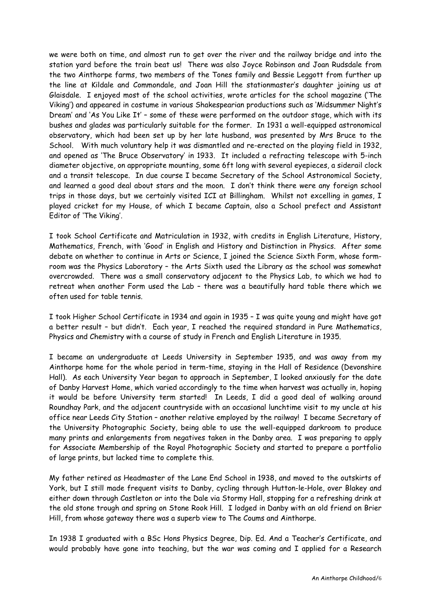we were both on time, and almost run to get over the river and the railway bridge and into the station yard before the train beat us! There was also Joyce Robinson and Joan Rudsdale from the two Ainthorpe farms, two members of the Tones family and Bessie Leggott from further up the line at Kildale and Commondale, and Joan Hill the stationmaster's daughter joining us at Glaisdale. I enjoyed most of the school activities, wrote articles for the school magazine ('The Viking') and appeared in costume in various Shakespearian productions such as 'Midsummer Night's Dream' and 'As You Like It' – some of these were performed on the outdoor stage, which with its bushes and glades was particularly suitable for the former. In 1931 a well-equipped astronomical observatory, which had been set up by her late husband, was presented by Mrs Bruce to the School. With much voluntary help it was dismantled and re-erected on the playing field in 1932, and opened as 'The Bruce Observatory' in 1933. It included a refracting telescope with 5-inch diameter objective, on appropriate mounting, some 6ft long with several eyepieces, a siderail clock and a transit telescope. In due course I became Secretary of the School Astronomical Society, and learned a good deal about stars and the moon. I don't think there were any foreign school trips in those days, but we certainly visited ICI at Billingham. Whilst not excelling in games, I played cricket for my House, of which I became Captain, also a School prefect and Assistant Editor of 'The Viking'.

I took School Certificate and Matriculation in 1932, with credits in English Literature, History, Mathematics, French, with 'Good' in English and History and Distinction in Physics. After some debate on whether to continue in Arts or Science, I joined the Science Sixth Form, whose formroom was the Physics Laboratory – the Arts Sixth used the Library as the school was somewhat overcrowded. There was a small conservatory adjacent to the Physics Lab, to which we had to retreat when another Form used the Lab – there was a beautifully hard table there which we often used for table tennis.

I took Higher School Certificate in 1934 and again in 1935 – I was quite young and might have got a better result – but didn't. Each year, I reached the required standard in Pure Mathematics, Physics and Chemistry with a course of study in French and English Literature in 1935.

I became an undergraduate at Leeds University in September 1935, and was away from my Ainthorpe home for the whole period in term-time, staying in the Hall of Residence (Devonshire Hall). As each University Year began to approach in September, I looked anxiously for the date of Danby Harvest Home, which varied accordingly to the time when harvest was actually in, hoping it would be before University term started! In Leeds, I did a good deal of walking around Roundhay Park, and the adjacent countryside with an occasional lunchtime visit to my uncle at his office near Leeds City Station – another relative employed by the railway! I became Secretary of the University Photographic Society, being able to use the well-equipped darkroom to produce many prints and enlargements from negatives taken in the Danby area. I was preparing to apply for Associate Membership of the Royal Photographic Society and started to prepare a portfolio of large prints, but lacked time to complete this.

My father retired as Headmaster of the Lane End School in 1938, and moved to the outskirts of York, but I still made frequent visits to Danby, cycling through Hutton-le-Hole, over Blakey and either down through Castleton or into the Dale via Stormy Hall, stopping for a refreshing drink at the old stone trough and spring on Stone Rook Hill. I lodged in Danby with an old friend on Brier Hill, from whose gateway there was a superb view to The Coums and Ainthorpe.

In 1938 I graduated with a BSc Hons Physics Degree, Dip. Ed. And a Teacher's Certificate, and would probably have gone into teaching, but the war was coming and I applied for a Research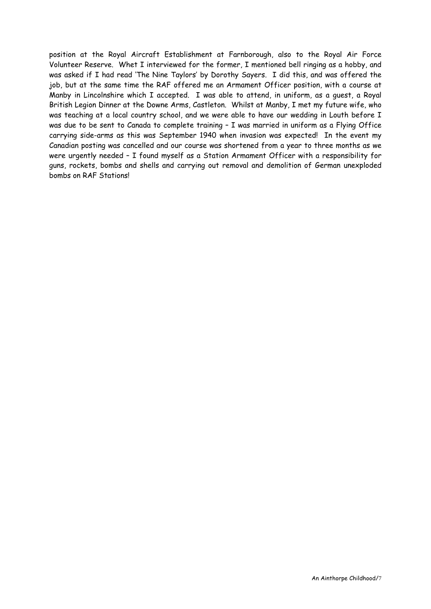position at the Royal Aircraft Establishment at Farnborough, also to the Royal Air Force Volunteer Reserve. Whet I interviewed for the former, I mentioned bell ringing as a hobby, and was asked if I had read 'The Nine Taylors' by Dorothy Sayers. I did this, and was offered the job, but at the same time the RAF offered me an Armament Officer position, with a course at Manby in Lincolnshire which I accepted. I was able to attend, in uniform, as a guest, a Royal British Legion Dinner at the Downe Arms, Castleton. Whilst at Manby, I met my future wife, who was teaching at a local country school, and we were able to have our wedding in Louth before I was due to be sent to Canada to complete training – I was married in uniform as a Flying Office carrying side-arms as this was September 1940 when invasion was expected! In the event my Canadian posting was cancelled and our course was shortened from a year to three months as we were urgently needed – I found myself as a Station Armament Officer with a responsibility for guns, rockets, bombs and shells and carrying out removal and demolition of German unexploded bombs on RAF Stations!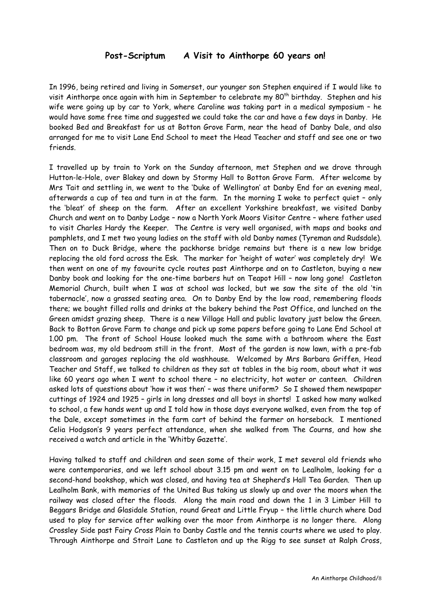## **Post-Scriptum A Visit to Ainthorpe 60 years on!**

In 1996, being retired and living in Somerset, our younger son Stephen enquired if I would like to visit Ainthorpe once again with him in September to celebrate my 80<sup>th</sup> birthday. Stephen and his wife were going up by car to York, where Caroline was taking part in a medical symposium – he would have some free time and suggested we could take the car and have a few days in Danby. He booked Bed and Breakfast for us at Botton Grove Farm, near the head of Danby Dale, and also arranged for me to visit Lane End School to meet the Head Teacher and staff and see one or two friends.

I travelled up by train to York on the Sunday afternoon, met Stephen and we drove through Hutton-le-Hole, over Blakey and down by Stormy Hall to Botton Grove Farm. After welcome by Mrs Tait and settling in, we went to the 'Duke of Wellington' at Danby End for an evening meal, afterwards a cup of tea and turn in at the farm. In the morning I woke to perfect quiet – only the 'bleat' of sheep on the farm. After an excellent Yorkshire breakfast, we visited Danby Church and went on to Danby Lodge – now a North York Moors Visitor Centre – where father used to visit Charles Hardy the Keeper. The Centre is very well organised, with maps and books and pamphlets, and I met two young ladies on the staff with old Danby names (Tyreman and Rudsdale). Then on to Duck Bridge, where the packhorse bridge remains but there is a new low bridge replacing the old ford across the Esk. The marker for 'height of water' was completely dry! We then went on one of my favourite cycle routes past Ainthorpe and on to Castleton, buying a new Danby book and looking for the one-time barbers hut on Teapot Hill – now long gone! Castleton Memorial Church, built when I was at school was locked, but we saw the site of the old 'tin tabernacle', now a grassed seating area. On to Danby End by the low road, remembering floods there; we bought filled rolls and drinks at the bakery behind the Post Office, and lunched on the Green amidst grazing sheep. There is a new Village Hall and public lavatory just below the Green. Back to Botton Grove Farm to change and pick up some papers before going to Lane End School at 1.00 pm. The front of School House looked much the same with a bathroom where the East bedroom was, my old bedroom still in the front. Most of the garden is now lawn, with a pre-fab classroom and garages replacing the old washhouse. Welcomed by Mrs Barbara Griffen, Head Teacher and Staff, we talked to children as they sat at tables in the big room, about what it was like 60 years ago when I went to school there - no electricity, hot water or canteen. Children asked lots of questions about 'how it was then' – was there uniform? So I showed them newspaper cuttings of 1924 and 1925 – girls in long dresses and all boys in shorts! I asked how many walked to school, a few hands went up and I told how in those days everyone walked, even from the top of the Dale, except sometimes in the farm cart of behind the farmer on horseback. I mentioned Celia Hodgson's 9 years perfect attendance, when she walked from The Courns, and how she received a watch and article in the 'Whitby Gazette'.

Having talked to staff and children and seen some of their work, I met several old friends who were contemporaries, and we left school about 3.15 pm and went on to Lealholm, looking for a second-hand bookshop, which was closed, and having tea at Shepherd's Hall Tea Garden. Then up Lealholm Bank, with memories of the United Bus taking us slowly up and over the moors when the railway was closed after the floods. Along the main road and down the 1 in 3 Limber Hill to Beggars Bridge and Glasidale Station, round Great and Little Fryup – the little church where Dad used to play for service after walking over the moor from Ainthorpe is no longer there. Along Crossley Side past Fairy Cross Plain to Danby Castle and the tennis courts where we used to play. Through Ainthorpe and Strait Lane to Castleton and up the Rigg to see sunset at Ralph Cross,